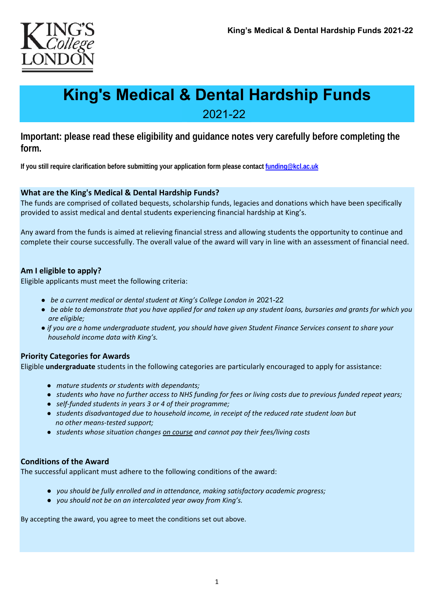

# **King's Medical & Dental Hardship Funds**

2021-22

**Important: please read these eligibility and guidance notes very carefully before completing the form.** 

**If you still require clarification before submitting your application form please contact funding@kcl.ac.uk**

## **What are the King's Medical & Dental Hardship Funds?**

The funds are comprised of collated bequests, scholarship funds, legacies and donations which have been specifically provided to assist medical and dental students experiencing financial hardship at King's.

Any award from the funds is aimed at relieving financial stress and allowing students the opportunity to continue and complete their course successfully. The overall value of the award will vary in line with an assessment of financial need.

## **Am I eligible to apply?**

Eligible applicants must meet the following criteria:

- *be a current medical or dental student at King's College London in*  2021-22
- *● be able to demonstrate that you have applied for and taken up any student loans, bursaries and grants for which you are eligible;*
- *● if you are a home undergraduate student, you should have given Student Finance Services consent to share your household income data with King's.*

## **Priority Categories for Awards**

Eligible **undergraduate** students in the following categories are particularly encouraged to apply for assistance:

- *mature students or students with dependants;*
- *students who have no further access to NHS funding for fees or living costs due to previous funded repeat years;*
- self-funded students in years 3 or 4 of their programme;
- *students disadvantaged due to household income, in receipt of the reduced rate student loan but no other means‐tested support;*
- *students whose situation changes on course and cannot pay their fees/living costs*

#### **Conditions of the Award**

The successful applicant must adhere to the following conditions of the award:

- *● you should be fully enrolled and in attendance, making satisfactory academic progress;*
- *● you should not be on an intercalated year away from King's.*

By accepting the award, you agree to meet the conditions set out above.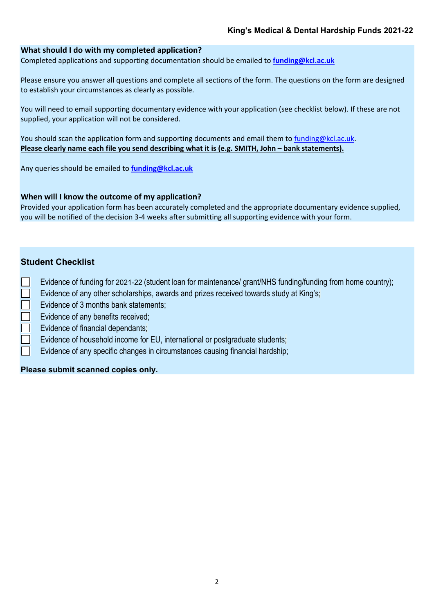## **What should I do with my completed application?**

Completed applications and supporting documentation should be emailed to **funding@kcl.ac.uk**

Please ensure you answer all questions and complete all sections of the form. The questions on the form are designed to establish your circumstances as clearly as possible.

You will need to email supporting documentary evidence with your application (see checklist below). If these are not supplied, your application will not be considered.

You should scan the application form and supporting documents and email them to funding@kcl.ac.uk. **Please clearly name each file you send describing what it is (e.g. SMITH, John – bank statements).**

Any queries should be emailed to **funding@kcl.ac.uk**

#### **When will I know the outcome of my application?**

Provided your application form has been accurately completed and the appropriate documentary evidence supplied, you will be notified of the decision 3‐4 weeks after submitting all supporting evidence with your form.

## **Student Checklist**

- Evidence of funding for 2021-22 (student loan for maintenance/ grant/NHS funding/funding from home country);
	- Evidence of any other scholarships, awards and prizes received towards study at King's;
- Evidence of 3 months bank statements;
- Evidence of any benefits received;
- Evidence of financial dependants;
- Evidence of household income for EU, international or postgraduate students;
- Evidence of any specific changes in circumstances causing financial hardship;

## **Please submit scanned copies only.**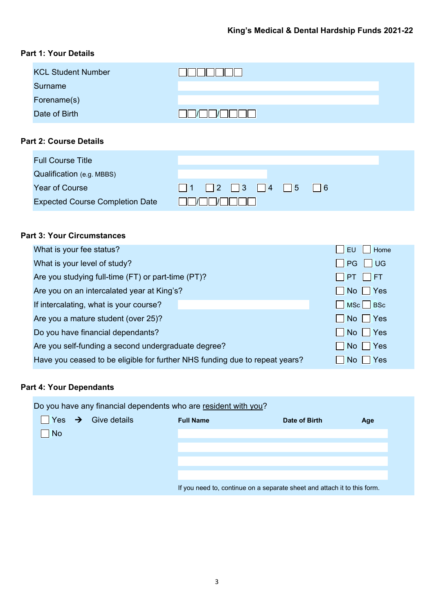# **Part 1: Your Details**

| <b>KCL Student Number</b> |    |
|---------------------------|----|
| <b>Surname</b>            |    |
| Forename(s)               |    |
| Date of Birth             | 17 |

# **Part 2: Course Details**

| <b>Full Course Title</b>               |                         |
|----------------------------------------|-------------------------|
| Qualification (e.g. MBBS)              |                         |
| <b>Year of Course</b>                  |                         |
| <b>Expected Course Completion Date</b> | $\parallel$ $\parallel$ |

## **Part 3: Your Circumstances**

| What is your fee status?                                                    | <b>EU</b><br>Home                    |
|-----------------------------------------------------------------------------|--------------------------------------|
| What is your level of study?                                                | <b>UG</b><br>PG                      |
| Are you studying full-time (FT) or part-time (PT)?                          | $\Box$ PT $\Box$ FT                  |
| Are you on an intercalated year at King's?                                  | $\blacksquare$ No $\blacksquare$ Yes |
| If intercalating, what is your course?                                      | MSc BSc                              |
| Are you a mature student (over 25)?                                         | No Yes                               |
| Do you have financial dependants?                                           | No Yes                               |
| Are you self-funding a second undergraduate degree?                         | Yes<br>    No                        |
| Have you ceased to be eligible for further NHS funding due to repeat years? | Yes<br>No l                          |
|                                                                             |                                      |

## **Part 4: Your Dependants**

Do you have any financial dependents who are resident with you?

| I.        | Yes $\rightarrow$ Give details | <b>Full Name</b> | Date of Birth                                                            | Age |
|-----------|--------------------------------|------------------|--------------------------------------------------------------------------|-----|
| <b>No</b> |                                |                  |                                                                          |     |
|           |                                |                  |                                                                          |     |
|           |                                |                  |                                                                          |     |
|           |                                |                  |                                                                          |     |
|           |                                |                  | If you need to, continue on a separate sheet and attach it to this form. |     |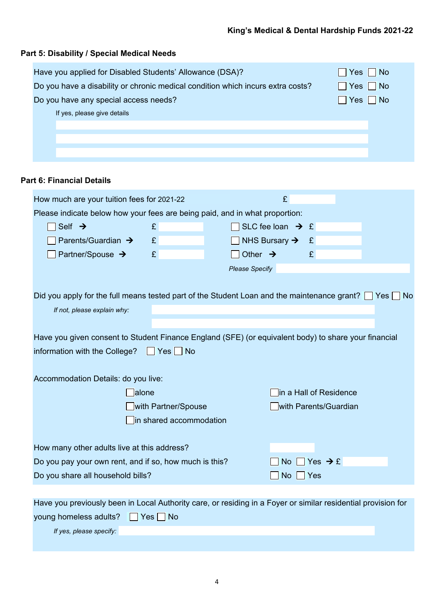| Have you applied for Disabled Students' Allowance (DSA)?                        | $ $ Yes $ $ No       |
|---------------------------------------------------------------------------------|----------------------|
| Do you have a disability or chronic medical condition which incurs extra costs? | $\Box$ Yes $\Box$ No |
| Do you have any special access needs?                                           | $\Box$ Yes $\Box$ No |
| If yes, please give details                                                     |                      |
|                                                                                 |                      |
|                                                                                 |                      |
|                                                                                 |                      |

# **Part 6: Financial Details**

**Part 5: Disability / Special Medical Needs**

| How much are your tuition fees for 2021-22                                                                       |                         |                       | £                            |                        |  |
|------------------------------------------------------------------------------------------------------------------|-------------------------|-----------------------|------------------------------|------------------------|--|
| Please indicate below how your fees are being paid, and in what proportion:                                      |                         |                       |                              |                        |  |
| Self $\rightarrow$                                                                                               | E                       |                       | SLC fee loan $\rightarrow$ £ |                        |  |
| Parents/Guardian →                                                                                               | £                       |                       | NHS Bursary $\rightarrow$    | £                      |  |
| Partner/Spouse →                                                                                                 | £                       | Other $\rightarrow$   |                              | £                      |  |
|                                                                                                                  |                         | <b>Please Specify</b> |                              |                        |  |
|                                                                                                                  |                         |                       |                              |                        |  |
| Did you apply for the full means tested part of the Student Loan and the maintenance grant? $\Box$ Yes $\Box$ No |                         |                       |                              |                        |  |
| If not, please explain why:                                                                                      |                         |                       |                              |                        |  |
|                                                                                                                  |                         |                       |                              |                        |  |
| Have you given consent to Student Finance England (SFE) (or equivalent body) to share your financial             |                         |                       |                              |                        |  |
| information with the College?                                                                                    | Yes No                  |                       |                              |                        |  |
|                                                                                                                  |                         |                       |                              |                        |  |
| Accommodation Details: do you live:                                                                              |                         |                       |                              |                        |  |
| alone                                                                                                            |                         |                       |                              | in a Hall of Residence |  |
|                                                                                                                  | with Partner/Spouse     |                       |                              | with Parents/Guardian  |  |
|                                                                                                                  | in shared accommodation |                       |                              |                        |  |
|                                                                                                                  |                         |                       |                              |                        |  |
| How many other adults live at this address?                                                                      |                         |                       |                              |                        |  |
| Do you pay your own rent, and if so, how much is this?                                                           |                         |                       | No.                          | Yes $\rightarrow$ £    |  |
| Do you share all household bills?                                                                                |                         |                       | <b>No</b>                    | Yes                    |  |
|                                                                                                                  |                         |                       |                              |                        |  |
| Have you previously been in Local Authority care, or residing in a Foyer or similar residential provision for    |                         |                       |                              |                        |  |
| young homeless adults?                                                                                           | Yes<br><b>No</b>        |                       |                              |                        |  |

*If yes, please specify:*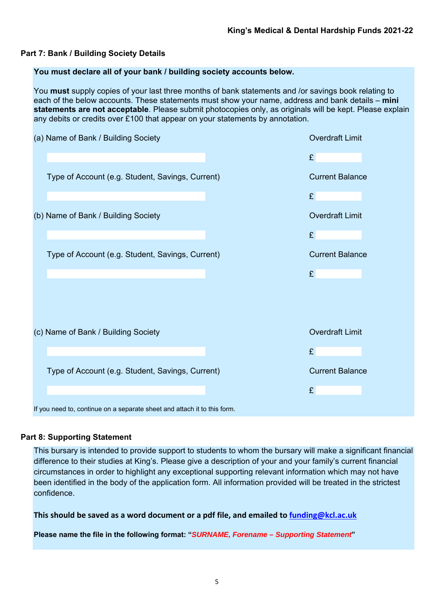## **Part 7: Bank / Building Society Details**

## **You must declare all of your bank / building society accounts below.**

You **must** supply copies of your last three months of bank statements and /or savings book relating to each of the below accounts. These statements must show your name, address and bank details – **mini statements are not acceptable**. Please submit photocopies only, as originals will be kept. Please explain any debits or credits over £100 that appear on your statements by annotation.

| (a) Name of Bank / Building Society                                      | <b>Overdraft Limit</b> |
|--------------------------------------------------------------------------|------------------------|
|                                                                          | £                      |
| Type of Account (e.g. Student, Savings, Current)                         | <b>Current Balance</b> |
|                                                                          | £                      |
| (b) Name of Bank / Building Society                                      | <b>Overdraft Limit</b> |
|                                                                          | £                      |
| Type of Account (e.g. Student, Savings, Current)                         | <b>Current Balance</b> |
|                                                                          | £                      |
|                                                                          |                        |
|                                                                          |                        |
| (c) Name of Bank / Building Society                                      | <b>Overdraft Limit</b> |
|                                                                          | £                      |
| Type of Account (e.g. Student, Savings, Current)                         | <b>Current Balance</b> |
|                                                                          | £                      |
| If you need to, continue on a separate sheet and attach it to this form. |                        |

## **Part 8: Supporting Statement**

This bursary is intended to provide support to students to whom the bursary will make a significant financial difference to their studies at King's. Please give a description of your and your family's current financial circumstances in order to highlight any exceptional supporting relevant information which may not have been identified in the body of the application form. All information provided will be treated in the strictest confidence.

**This should be saved as a word document or a pdf file, and emailed to funding@kcl.ac.uk**

**Please name the file in the following format: "***SURNAME, Forename – Supporting Statement***"**